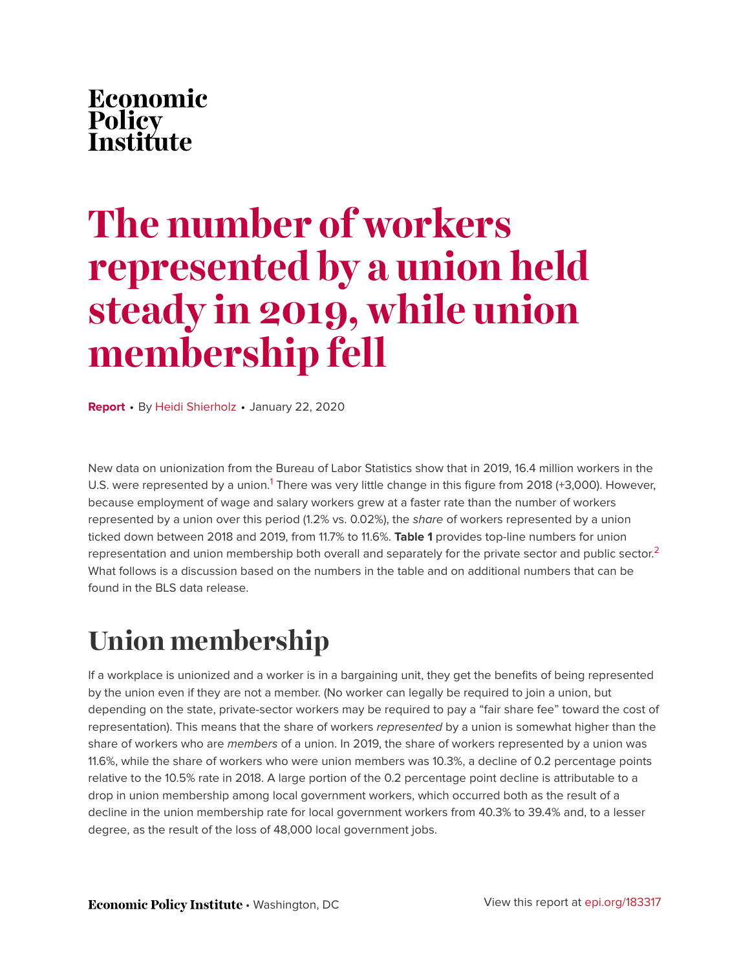# Economic Policy<br>Institute

# **The number of workers represented by a union held steady in 2019, while union membership fell**

**Report** • By [Heidi Shierholz](https://www.epi.org/people/heidi-shierholz/) • January 22, 2020

<span id="page-0-0"></span>New data on unionization from the Bureau of Labor Statistics show that in 2019, 16.4 million workers in the U.S. were represented by a union.<sup>[1](#page-3-0)</sup> There was very little change in this figure from 2018 (+3,000). However, because employment of wage and salary workers grew at a faster rate than the number of workers represented by a union over this period (1.2% vs. 0.02%), the *share* of workers represented by a union ticked down between 2018 and 2019, from 11.7% to 11.6%. **Table 1** provides top-line numbers for union representation and union membership both overall and separately for the private sector and public sector. $^{\text{2}}$  $^{\text{2}}$  $^{\text{2}}$ What follows is a discussion based on the numbers in the table and on additional numbers that can be found in the BLS data release.

# <span id="page-0-1"></span>**Union membership**

If a workplace is unionized and a worker is in a bargaining unit, they get the benefits of being represented by the union even if they are not a member. (No worker can legally be required to join a union, but depending on the state, private-sector workers may be required to pay a "fair share fee" toward the cost of representation). This means that the share of workers *represented* by a union is somewhat higher than the share of workers who are *members* of a union. In 2019, the share of workers represented by a union was 11.6%, while the share of workers who were union members was 10.3%, a decline of 0.2 percentage points relative to the 10.5% rate in 2018. A large portion of the 0.2 percentage point decline is attributable to a drop in union membership among local government workers, which occurred both as the result of a decline in the union membership rate for local government workers from 40.3% to 39.4% and, to a lesser degree, as the result of the loss of 48,000 local government jobs.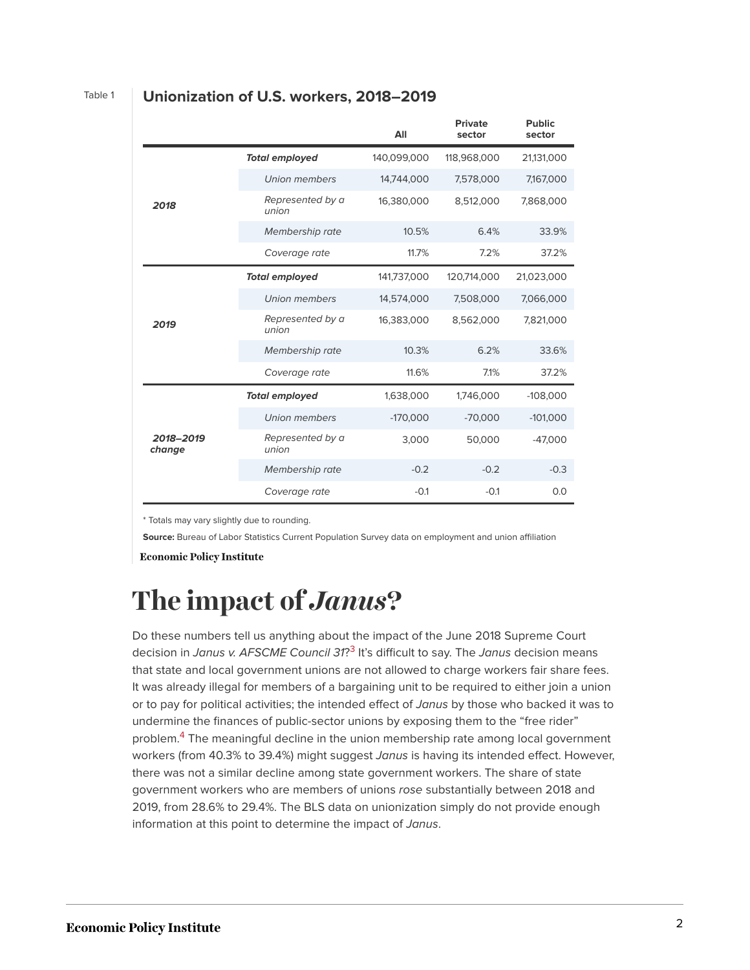|                     |                           | All         | <b>Private</b><br>sector | <b>Public</b><br>sector |
|---------------------|---------------------------|-------------|--------------------------|-------------------------|
| 2018                | <b>Total employed</b>     | 140,099,000 | 118,968,000              | 21,131,000              |
|                     | Union members             | 14,744,000  | 7,578,000                | 7,167,000               |
|                     | Represented by a<br>union | 16,380,000  | 8,512,000                | 7,868,000               |
|                     | Membership rate           | 10.5%       | 6.4%                     | 33.9%                   |
|                     | Coverage rate             | 11.7%       | 7.2%                     | 37.2%                   |
| 2019                | <b>Total employed</b>     | 141,737,000 | 120,714,000              | 21,023,000              |
|                     | Union members             | 14,574,000  | 7,508,000                | 7,066,000               |
|                     | Represented by a<br>union | 16,383,000  | 8,562,000                | 7,821,000               |
|                     | Membership rate           | 10.3%       | 6.2%                     | 33.6%                   |
|                     | Coverage rate             | 11.6%       | 7.1%                     | 37.2%                   |
| 2018-2019<br>change | <b>Total employed</b>     | 1,638,000   | 1,746,000                | $-108,000$              |
|                     | Union members             | $-170,000$  | $-70,000$                | $-101,000$              |
|                     | Represented by a<br>union | 3,000       | 50,000                   | $-47,000$               |
|                     | Membership rate           | $-0.2$      | $-0.2$                   | $-0.3$                  |
|                     | Coverage rate             | $-0.1$      | $-0.1$                   | 0.0                     |

#### Table 1 **Unionization of U.S. workers, 2018–2019**

\* Totals may vary slightly due to rounding.

**Source:** Bureau of Labor Statistics Current Population Survey data on employment and union affiliation

**Economic Policy Institute** 

# **The impact of** *Janus***?**

<span id="page-1-1"></span><span id="page-1-0"></span>Do these numbers tell us anything about the impact of the June 2018 Supreme Court decision in *Janus v. AFSCME Council 31*? [3](#page-3-2) It's difficult to say. The *Janus* decision means that state and local government unions are not allowed to charge workers fair share fees. It was already illegal for members of a bargaining unit to be required to either join a union or to pay for political activities; the intended effect of *Janus* by those who backed it was to undermine the finances of public-sector unions by exposing them to the "free rider" problem.<sup>[4](#page-3-3)</sup> The meaningful decline in the union membership rate among local government workers (from 40.3% to 39.4%) might suggest *Janus* is having its intended effect. However, there was not a similar decline among state government workers. The share of state government workers who are members of unions *rose* substantially between 2018 and 2019, from 28.6% to 29.4%. The BLS data on unionization simply do not provide enough information at this point to determine the impact of *Janus*.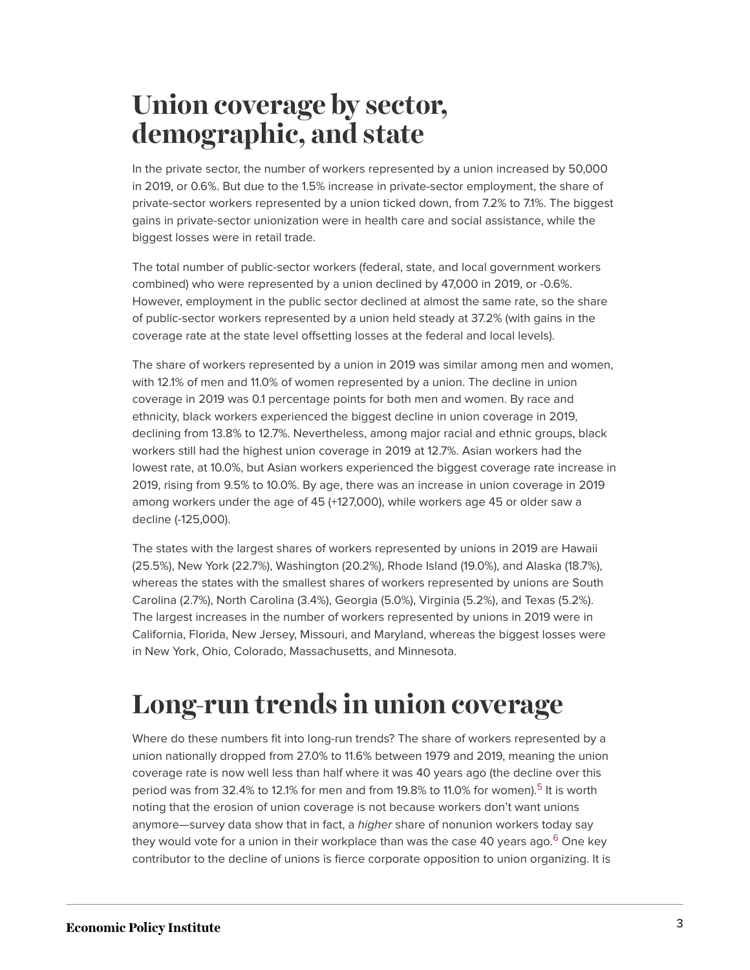### **Union coverage by sector, demographic, and state**

In the private sector, the number of workers represented by a union increased by 50,000 in 2019, or 0.6%. But due to the 1.5% increase in private-sector employment, the share of private-sector workers represented by a union ticked down, from 7.2% to 7.1%. The biggest gains in private-sector unionization were in health care and social assistance, while the biggest losses were in retail trade.

The total number of public-sector workers (federal, state, and local government workers combined) who were represented by a union declined by 47,000 in 2019, or -0.6%. However, employment in the public sector declined at almost the same rate, so the share of public-sector workers represented by a union held steady at 37.2% (with gains in the coverage rate at the state level offsetting losses at the federal and local levels).

The share of workers represented by a union in 2019 was similar among men and women, with 12.1% of men and 11.0% of women represented by a union. The decline in union coverage in 2019 was 0.1 percentage points for both men and women. By race and ethnicity, black workers experienced the biggest decline in union coverage in 2019, declining from 13.8% to 12.7%. Nevertheless, among major racial and ethnic groups, black workers still had the highest union coverage in 2019 at 12.7%. Asian workers had the lowest rate, at 10.0%, but Asian workers experienced the biggest coverage rate increase in 2019, rising from 9.5% to 10.0%. By age, there was an increase in union coverage in 2019 among workers under the age of 45 (+127,000), while workers age 45 or older saw a decline (-125,000).

The states with the largest shares of workers represented by unions in 2019 are Hawaii (25.5%), New York (22.7%), Washington (20.2%), Rhode Island (19.0%), and Alaska (18.7%), whereas the states with the smallest shares of workers represented by unions are South Carolina (2.7%), North Carolina (3.4%), Georgia (5.0%), Virginia (5.2%), and Texas (5.2%). The largest increases in the number of workers represented by unions in 2019 were in California, Florida, New Jersey, Missouri, and Maryland, whereas the biggest losses were in New York, Ohio, Colorado, Massachusetts, and Minnesota.

## **Long-run trends in union coverage**

<span id="page-2-1"></span><span id="page-2-0"></span>Where do these numbers fit into long-run trends? The share of workers represented by a union nationally dropped from 27.0% to 11.6% between 1979 and 2019, meaning the union coverage rate is now well less than half where it was 40 years ago (the decline over this period was from 32.4% to 12.1% for men and from 19.8% to 11.0% for women).<sup>[5](#page-3-4)</sup> It is worth noting that the erosion of union coverage is not because workers don't want unions anymore—survey data show that in fact, a *higher* share of nonunion workers today say they would vote for a union in their workplace than was the case 40 years ago.<sup>[6](#page-4-0)</sup> One key contributor to the decline of unions is fierce corporate opposition to union organizing. It is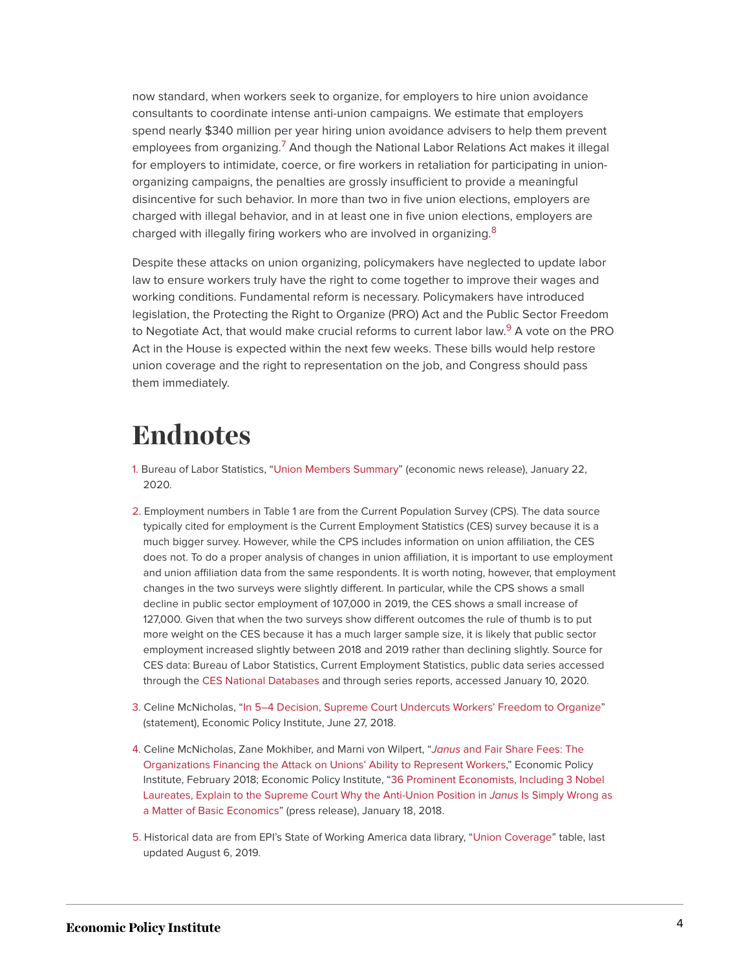<span id="page-3-5"></span>now standard, when workers seek to organize, for employers to hire union avoidance consultants to coordinate intense anti-union campaigns. We estimate that employers spend nearly \$340 million per year hiring union avoidance advisers to help them prevent employees from organizing.<sup>[7](#page-4-1)</sup> And though the National Labor Relations Act makes it illegal for employers to intimidate, coerce, or fire workers in retaliation for participating in unionorganizing campaigns, the penalties are grossly insufficient to provide a meaningful disincentive for such behavior. In more than two in five union elections, employers are charged with illegal behavior, and in at least one in five union elections, employers are charged with illegally firing workers who are involved in organizing.<sup>[8](#page-4-2)</sup>

<span id="page-3-7"></span><span id="page-3-6"></span>Despite these attacks on union organizing, policymakers have neglected to update labor law to ensure workers truly have the right to come together to improve their wages and working conditions. Fundamental reform is necessary. Policymakers have introduced legislation, the Protecting the Right to Organize (PRO) Act and the Public Sector Freedom to Negotiate Act, that would make crucial reforms to current labor law.<sup>[9](#page-4-3)</sup> A vote on the PRO Act in the House is expected within the next few weeks. These bills would help restore union coverage and the right to representation on the job, and Congress should pass them immediately.

#### **Endnotes**

- <span id="page-3-0"></span>[1.](#page-0-0) Bureau of Labor Statistics, ["Union Members Summary](https://www.bls.gov/news.release/union2.nr0.htm)" (economic news release), January 22, 2020.
- <span id="page-3-1"></span>[2.](#page-0-1) Employment numbers in Table 1 are from the Current Population Survey (CPS). The data source typically cited for employment is the Current Employment Statistics (CES) survey because it is a much bigger survey. However, while the CPS includes information on union affiliation, the CES does not. To do a proper analysis of changes in union affiliation, it is important to use employment and union affiliation data from the same respondents. It is worth noting, however, that employment changes in the two surveys were slightly different. In particular, while the CPS shows a small decline in public sector employment of 107,000 in 2019, the CES shows a small increase of 127,000. Given that when the two surveys show different outcomes the rule of thumb is to put more weight on the CES because it has a much larger sample size, it is likely that public sector employment increased slightly between 2018 and 2019 rather than declining slightly. Source for CES data: Bureau of Labor Statistics, Current Employment Statistics, public data series accessed through the [CES National Databases](https://www.bls.gov/ces/data/home.htm) and through series reports, accessed January 10, 2020.
- <span id="page-3-2"></span>[3.](#page-1-0) Celine McNicholas, "[In 5–4 Decision, Supreme Court Undercuts Workers' Freedom to Organize"](https://www.epi.org/press/in-5-4-decision-supreme-court-undercuts-workers-freedom-to-organize/) (statement), Economic Policy Institute, June 27, 2018.
- <span id="page-3-3"></span>[4.](#page-1-1) Celine McNicholas, Zane Mokhiber, and Marni von Wilpert, "*Janus* [and Fair Share Fees: The](https://www.epi.org/publication/janus-and-fair-share-fees-the-organizations-financing-the-attack-on-unions-ability-to-represent-workers/) [Organizations Financing the Attack on Unions' Ability to Represent Workers](https://www.epi.org/publication/janus-and-fair-share-fees-the-organizations-financing-the-attack-on-unions-ability-to-represent-workers/)," Economic Policy Institute, February 2018; Economic Policy Institute, ["36 Prominent Economists, Including 3 Nobel](https://www.epi.org/press/36-prominent-economists-including-3-nobel-laureates-explain-to-the-supreme-court-why-the-anti-union-position-in-janus-is-simply-wrong-as-a-matter-of-basic-economics/) [Laureates, Explain to the Supreme Court Why the Anti-Union Position in](https://www.epi.org/press/36-prominent-economists-including-3-nobel-laureates-explain-to-the-supreme-court-why-the-anti-union-position-in-janus-is-simply-wrong-as-a-matter-of-basic-economics/) *Janus* Is Simply Wrong as [a Matter of Basic Economics](https://www.epi.org/press/36-prominent-economists-including-3-nobel-laureates-explain-to-the-supreme-court-why-the-anti-union-position-in-janus-is-simply-wrong-as-a-matter-of-basic-economics/)" (press release), January 18, 2018.
- <span id="page-3-4"></span>[5.](#page-2-0) Historical data are from EPI's State of Working America data library, ["Union Coverage"](https://www.epi.org/data/#?subject=unioncov) table, last updated August 6, 2019.